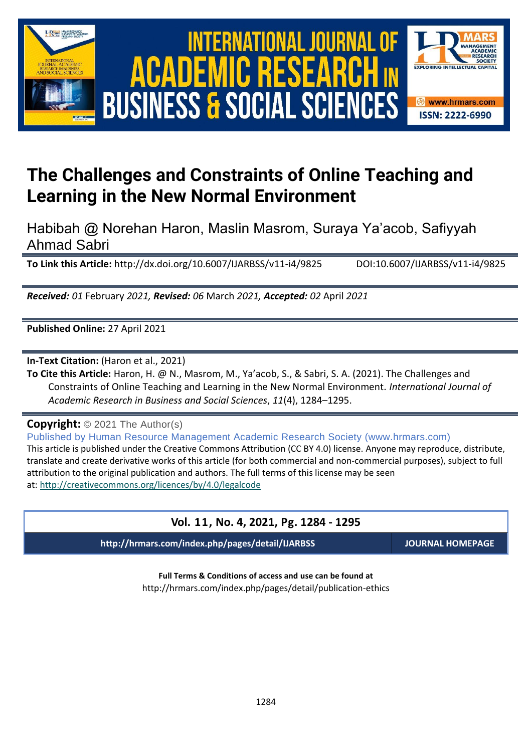



# **The Challenges and Constraints of Online Teaching and Learning in the New Normal Environment**

Habibah @ Norehan Haron, Maslin Masrom, Suraya Ya'acob, Safiyyah Ahmad Sabri

**To Link this Article:** http://dx.doi.org/10.6007/IJARBSS/v11-i4/9825 DOI:10.6007/IJARBSS/v11-i4/9825

*Received: 01* February *2021, Revised: 06* March *2021, Accepted: 02* April *2021*

**Published Online:** 27 April 2021

**In-Text Citation:** (Haron et al., 2021)

**To Cite this Article:** Haron, H. @ N., Masrom, M., Ya'acob, S., & Sabri, S. A. (2021). The Challenges and Constraints of Online Teaching and Learning in the New Normal Environment. *International Journal of Academic Research in Business and Social Sciences*, *11*(4), 1284–1295.

**Copyright:** © 2021 The Author(s)

Published by Human Resource Management Academic Research Society (www.hrmars.com) This article is published under the Creative Commons Attribution (CC BY 4.0) license. Anyone may reproduce, distribute, translate and create derivative works of this article (for both commercial and non-commercial purposes), subject to full attribution to the original publication and authors. The full terms of this license may be seen at: <http://creativecommons.org/licences/by/4.0/legalcode>

# **Vol. 11, No. 4, 2021, Pg. 1284 - 1295**

**http://hrmars.com/index.php/pages/detail/IJARBSS JOURNAL HOMEPAGE**

**Full Terms & Conditions of access and use can be found at** http://hrmars.com/index.php/pages/detail/publication-ethics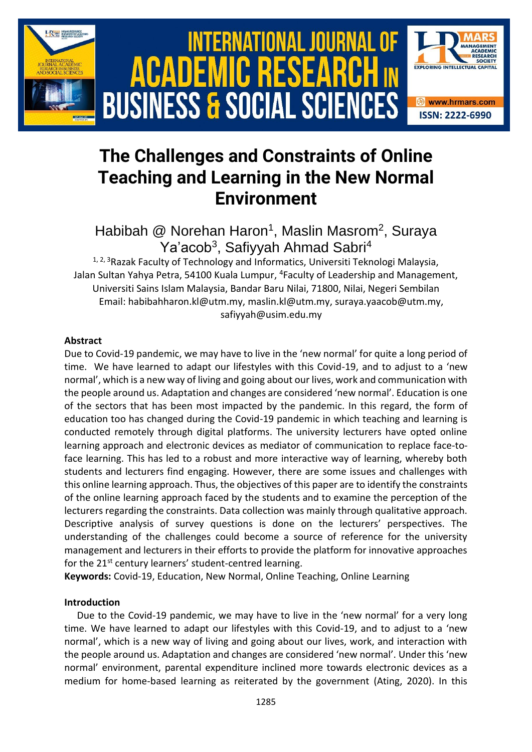

# **The Challenges and Constraints of Online Teaching and Learning in the New Normal Environment**

Habibah @ Norehan Haron<sup>1</sup>, Maslin Masrom<sup>2</sup>, Suraya Ya'acob<sup>3</sup>, Safiyyah Ahmad Sabri<sup>4</sup>

<sup>1, 2, 3</sup>Razak Faculty of Technology and Informatics, Universiti Teknologi Malaysia, Jalan Sultan Yahya Petra, 54100 Kuala Lumpur, <sup>4</sup>Faculty of Leadership and Management, Universiti Sains Islam Malaysia, Bandar Baru Nilai, 71800, Nilai, Negeri Sembilan Email: habibahharon.kl@utm.my, [maslin.kl@utm.my,](mailto:maslin.kl@utm.my) [suraya.yaacob@utm.my,](mailto:suraya.yaacob@utm.my) [safiyyah@usim.edu.my](mailto:safiyyah@usim.edu.my)

#### **Abstract**

Due to Covid-19 pandemic, we may have to live in the 'new normal' for quite a long period of time. We have learned to adapt our lifestyles with this Covid-19, and to adjust to a 'new normal', which is a new way of living and going about our lives, work and communication with the people around us. Adaptation and changes are considered 'new normal'. Education is one of the sectors that has been most impacted by the pandemic. In this regard, the form of education too has changed during the Covid-19 pandemic in which teaching and learning is conducted remotely through digital platforms. The university lecturers have opted online learning approach and electronic devices as mediator of communication to replace face-toface learning. This has led to a robust and more interactive way of learning, whereby both students and lecturers find engaging. However, there are some issues and challenges with this online learning approach. Thus, the objectives of this paper are to identify the constraints of the online learning approach faced by the students and to examine the perception of the lecturers regarding the constraints. Data collection was mainly through qualitative approach. Descriptive analysis of survey questions is done on the lecturers' perspectives. The understanding of the challenges could become a source of reference for the university management and lecturers in their efforts to provide the platform for innovative approaches for the 21<sup>st</sup> century learners' student-centred learning.

**Keywords:** Covid-19, Education, New Normal, Online Teaching, Online Learning

#### **Introduction**

Due to the Covid-19 pandemic, we may have to live in the 'new normal' for a very long time. We have learned to adapt our lifestyles with this Covid-19, and to adjust to a 'new normal', which is a new way of living and going about our lives, work, and interaction with the people around us. Adaptation and changes are considered 'new normal'. Under this 'new normal' environment, parental expenditure inclined more towards electronic devices as a medium for home-based learning as reiterated by the government (Ating, 2020). In this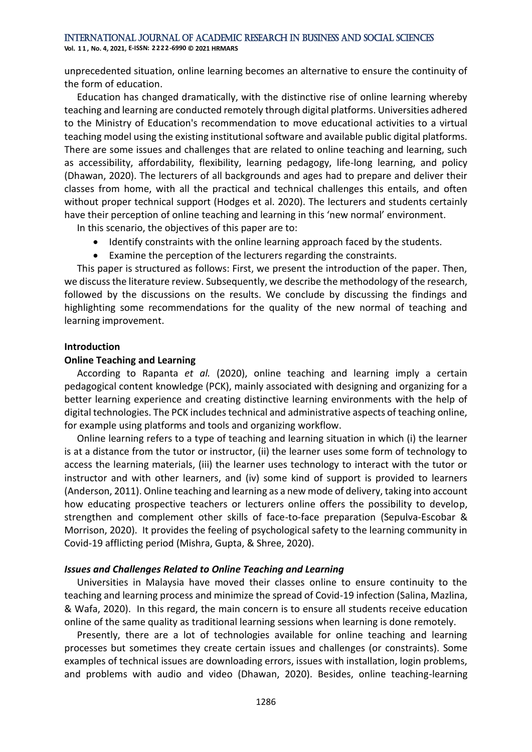**Vol. 1 1 , No. 4, 2021, E-ISSN: 2222-6990 © 2021 HRMARS**

unprecedented situation, online learning becomes an alternative to ensure the continuity of the form of education.

Education has changed dramatically, with the distinctive rise of online learning whereby teaching and learning are conducted remotely through digital platforms. Universities adhered to the Ministry of Education's recommendation to move educational activities to a virtual teaching model using the existing institutional software and available public digital platforms. There are some issues and challenges that are related to online teaching and learning, such as accessibility, affordability, flexibility, learning pedagogy, life-long learning, and policy (Dhawan, 2020). The lecturers of all backgrounds and ages had to prepare and deliver their classes from home, with all the practical and technical challenges this entails, and often without proper technical support (Hodges et al. 2020). The lecturers and students certainly have their perception of online teaching and learning in this 'new normal' environment.

In this scenario, the objectives of this paper are to:

- Identify constraints with the online learning approach faced by the students.
- Examine the perception of the lecturers regarding the constraints.

This paper is structured as follows: First, we present the introduction of the paper. Then, we discuss the literature review. Subsequently, we describe the methodology of the research, followed by the discussions on the results. We conclude by discussing the findings and highlighting some recommendations for the quality of the new normal of teaching and learning improvement.

## **Introduction**

#### **Online Teaching and Learning**

According to Rapanta *et al.* (2020), online teaching and learning imply a certain pedagogical content knowledge (PCK), mainly associated with designing and organizing for a better learning experience and creating distinctive learning environments with the help of digital technologies. The PCK includes technical and administrative aspects of teaching online, for example using platforms and tools and organizing workflow.

Online learning refers to a type of teaching and learning situation in which (i) the learner is at a distance from the tutor or instructor, (ii) the learner uses some form of technology to access the learning materials, (iii) the learner uses technology to interact with the tutor or instructor and with other learners, and (iv) some kind of support is provided to learners (Anderson, 2011). Online teaching and learning as a new mode of delivery, taking into account how educating prospective teachers or lecturers online offers the possibility to develop, strengthen and complement other skills of face-to-face preparation (Sepulva-Escobar & Morrison, 2020). It provides the feeling of psychological safety to the learning community in Covid-19 afflicting period (Mishra, Gupta, & Shree, 2020).

## *Issues and Challenges Related to Online Teaching and Learning*

Universities in Malaysia have moved their classes online to ensure continuity to the teaching and learning process and minimize the spread of Covid-19 infection (Salina, Mazlina, & Wafa, 2020). In this regard, the main concern is to ensure all students receive education online of the same quality as traditional learning sessions when learning is done remotely.

Presently, there are a lot of technologies available for online teaching and learning processes but sometimes they create certain issues and challenges (or constraints). Some examples of technical issues are downloading errors, issues with installation, login problems, and problems with audio and video (Dhawan, 2020). Besides, online teaching-learning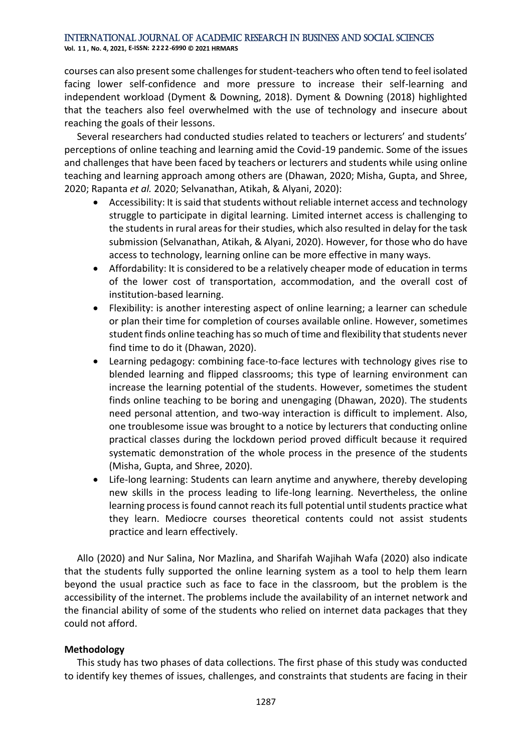**Vol. 1 1 , No. 4, 2021, E-ISSN: 2222-6990 © 2021 HRMARS**

courses can also present some challenges for student-teachers who often tend to feel isolated facing lower self-confidence and more pressure to increase their self-learning and independent workload (Dyment & Downing, 2018). Dyment & Downing (2018) highlighted that the teachers also feel overwhelmed with the use of technology and insecure about reaching the goals of their lessons.

Several researchers had conducted studies related to teachers or lecturers' and students' perceptions of online teaching and learning amid the Covid-19 pandemic. Some of the issues and challenges that have been faced by teachers or lecturers and students while using online teaching and learning approach among others are (Dhawan, 2020; Misha, Gupta, and Shree, 2020; Rapanta *et al.* 2020; Selvanathan, Atikah, & Alyani, 2020):

- Accessibility: It is said that students without reliable internet access and technology struggle to participate in digital learning. Limited internet access is challenging to the students in rural areas for their studies, which also resulted in delay for the task submission (Selvanathan, Atikah, & Alyani, 2020). However, for those who do have access to technology, learning online can be more effective in many ways.
- Affordability: It is considered to be a relatively cheaper mode of education in terms of the lower cost of transportation, accommodation, and the overall cost of institution-based learning.
- Flexibility: is another interesting aspect of online learning; a learner can schedule or plan their time for completion of courses available online. However, sometimes student finds online teaching has so much of time and flexibility that students never find time to do it (Dhawan, 2020).
- Learning pedagogy: combining face-to-face lectures with technology gives rise to blended learning and flipped classrooms; this type of learning environment can increase the learning potential of the students. However, sometimes the student finds online teaching to be boring and unengaging (Dhawan, 2020). The students need personal attention, and two-way interaction is difficult to implement. Also, one troublesome issue was brought to a notice by lecturers that conducting online practical classes during the lockdown period proved difficult because it required systematic demonstration of the whole process in the presence of the students (Misha, Gupta, and Shree, 2020).
- Life-long learning: Students can learn anytime and anywhere, thereby developing new skills in the process leading to life-long learning. Nevertheless, the online learning process is found cannot reach its full potential until students practice what they learn. Mediocre courses theoretical contents could not assist students practice and learn effectively.

Allo (2020) and Nur Salina, Nor Mazlina, and Sharifah Wajihah Wafa (2020) also indicate that the students fully supported the online learning system as a tool to help them learn beyond the usual practice such as face to face in the classroom, but the problem is the accessibility of the internet. The problems include the availability of an internet network and the financial ability of some of the students who relied on internet data packages that they could not afford.

# **Methodology**

This study has two phases of data collections. The first phase of this study was conducted to identify key themes of issues, challenges, and constraints that students are facing in their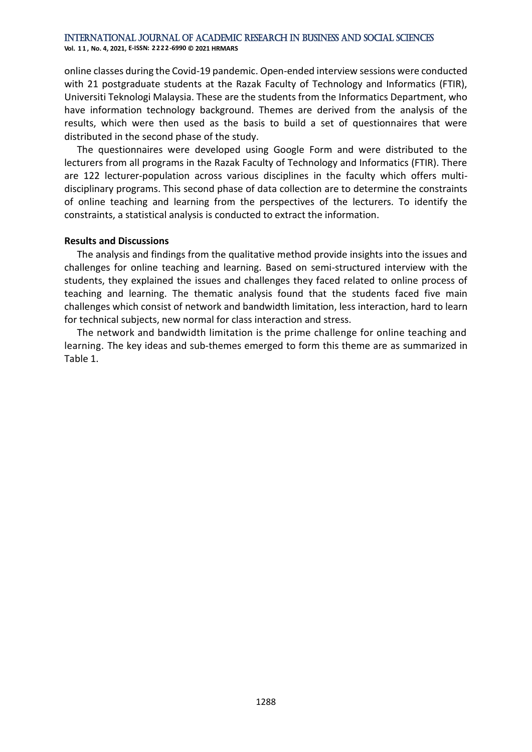**Vol. 1 1 , No. 4, 2021, E-ISSN: 2222-6990 © 2021 HRMARS**

online classes during the Covid-19 pandemic. Open-ended interview sessions were conducted with 21 postgraduate students at the Razak Faculty of Technology and Informatics (FTIR), Universiti Teknologi Malaysia. These are the students from the Informatics Department, who have information technology background. Themes are derived from the analysis of the results, which were then used as the basis to build a set of questionnaires that were distributed in the second phase of the study.

The questionnaires were developed using Google Form and were distributed to the lecturers from all programs in the Razak Faculty of Technology and Informatics (FTIR). There are 122 lecturer-population across various disciplines in the faculty which offers multidisciplinary programs. This second phase of data collection are to determine the constraints of online teaching and learning from the perspectives of the lecturers. To identify the constraints, a statistical analysis is conducted to extract the information.

## **Results and Discussions**

The analysis and findings from the qualitative method provide insights into the issues and challenges for online teaching and learning. Based on semi-structured interview with the students, they explained the issues and challenges they faced related to online process of teaching and learning. The thematic analysis found that the students faced five main challenges which consist of network and bandwidth limitation, less interaction, hard to learn for technical subjects, new normal for class interaction and stress.

The network and bandwidth limitation is the prime challenge for online teaching and learning. The key ideas and sub-themes emerged to form this theme are as summarized in Table 1.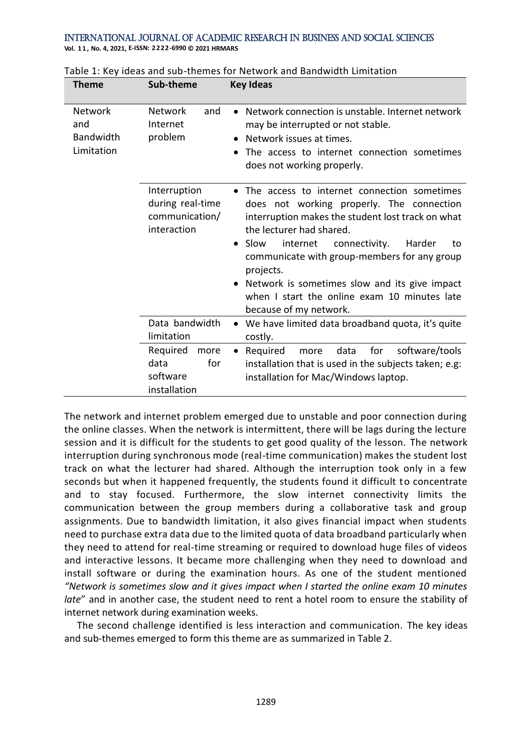**Vol. 1 1 , No. 4, 2021, E-ISSN: 2222-6990 © 2021 HRMARS**

| <b>Theme</b>                                     | Sub-theme                                                         | <b>Key Ideas</b>                                                                                                                                                                                                                                                                                                                                                                                                                    |  |  |  |  |
|--------------------------------------------------|-------------------------------------------------------------------|-------------------------------------------------------------------------------------------------------------------------------------------------------------------------------------------------------------------------------------------------------------------------------------------------------------------------------------------------------------------------------------------------------------------------------------|--|--|--|--|
| Network<br>and<br><b>Bandwidth</b><br>Limitation | <b>Network</b><br>and<br>Internet<br>problem                      | Network connection is unstable. Internet network<br>may be interrupted or not stable.<br>Network issues at times.<br>The access to internet connection sometimes<br>does not working properly.                                                                                                                                                                                                                                      |  |  |  |  |
|                                                  | Interruption<br>during real-time<br>communication/<br>interaction | The access to internet connection sometimes<br>does not working properly. The connection<br>interruption makes the student lost track on what<br>the lecturer had shared.<br>Slow<br>connectivity.<br>internet<br>Harder<br>to<br>$\bullet$<br>communicate with group-members for any group<br>projects.<br>Network is sometimes slow and its give impact<br>when I start the online exam 10 minutes late<br>because of my network. |  |  |  |  |
|                                                  | Data bandwidth<br>limitation                                      | We have limited data broadband quota, it's quite<br>costly.                                                                                                                                                                                                                                                                                                                                                                         |  |  |  |  |
|                                                  | Required<br>more<br>for<br>data<br>software<br>installation       | for<br>software/tools<br>Required<br>data<br>more<br>installation that is used in the subjects taken; e.g:<br>installation for Mac/Windows laptop.                                                                                                                                                                                                                                                                                  |  |  |  |  |

| Table 1: Key ideas and sub-themes for Network and Bandwidth Limitation |  |  |
|------------------------------------------------------------------------|--|--|
|------------------------------------------------------------------------|--|--|

The network and internet problem emerged due to unstable and poor connection during the online classes. When the network is intermittent, there will be lags during the lecture session and it is difficult for the students to get good quality of the lesson. The network interruption during synchronous mode (real-time communication) makes the student lost track on what the lecturer had shared. Although the interruption took only in a few seconds but when it happened frequently, the students found it difficult to concentrate and to stay focused. Furthermore, the slow internet connectivity limits the communication between the group members during a collaborative task and group assignments. Due to bandwidth limitation, it also gives financial impact when students need to purchase extra data due to the limited quota of data broadband particularly when they need to attend for real-time streaming or required to download huge files of videos and interactive lessons. It became more challenging when they need to download and install software or during the examination hours. As one of the student mentioned *"Network is sometimes slow and it gives impact when I started the online exam 10 minutes late*" and in another case, the student need to rent a hotel room to ensure the stability of internet network during examination weeks.

The second challenge identified is less interaction and communication. The key ideas and sub-themes emerged to form this theme are as summarized in Table 2.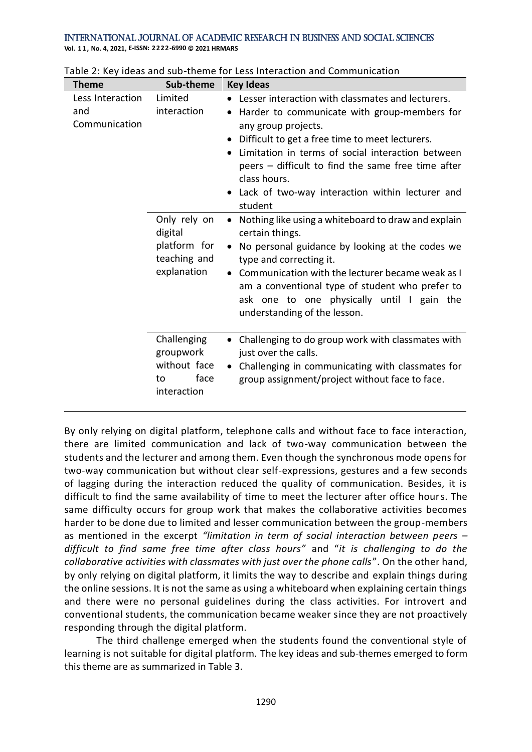**Vol. 1 1 , No. 4, 2021, E-ISSN: 2222-6990 © 2021 HRMARS**

| <b>Theme</b>                             | Sub-theme                                                              | <b>Key Ideas</b>                                                                                                                                                                                                                                                                                                                                                                                                         |
|------------------------------------------|------------------------------------------------------------------------|--------------------------------------------------------------------------------------------------------------------------------------------------------------------------------------------------------------------------------------------------------------------------------------------------------------------------------------------------------------------------------------------------------------------------|
| Less Interaction<br>and<br>Communication | Limited<br>interaction                                                 | Lesser interaction with classmates and lecturers.<br>$\bullet$<br>Harder to communicate with group-members for<br>$\bullet$<br>any group projects.<br>Difficult to get a free time to meet lecturers.<br>$\bullet$<br>Limitation in terms of social interaction between<br>$\bullet$<br>peers – difficult to find the same free time after<br>class hours.<br>Lack of two-way interaction within lecturer and<br>student |
|                                          | Only rely on<br>digital<br>platform for<br>teaching and<br>explanation | Nothing like using a whiteboard to draw and explain<br>$\bullet$<br>certain things.<br>• No personal guidance by looking at the codes we<br>type and correcting it.<br>Communication with the lecturer became weak as I<br>$\bullet$<br>am a conventional type of student who prefer to<br>ask one to one physically until I gain the<br>understanding of the lesson.                                                    |
|                                          | Challenging<br>groupwork<br>without face<br>face<br>to<br>interaction  | • Challenging to do group work with classmates with<br>just over the calls.<br>• Challenging in communicating with classmates for<br>group assignment/project without face to face.                                                                                                                                                                                                                                      |

By only relying on digital platform, telephone calls and without face to face interaction, there are limited communication and lack of two-way communication between the students and the lecturer and among them. Even though the synchronous mode opens for two-way communication but without clear self-expressions, gestures and a few seconds of lagging during the interaction reduced the quality of communication. Besides, it is difficult to find the same availability of time to meet the lecturer after office hours. The same difficulty occurs for group work that makes the collaborative activities becomes harder to be done due to limited and lesser communication between the group-members as mentioned in the excerpt *"limitation in term of social interaction between peers – difficult to find same free time after class hours"* and "*it is challenging to do the collaborative activities with classmates with just over the phone calls*". On the other hand, by only relying on digital platform, it limits the way to describe and explain things during the online sessions. It is not the same as using a whiteboard when explaining certain things and there were no personal guidelines during the class activities. For introvert and conventional students, the communication became weaker since they are not proactively responding through the digital platform.

The third challenge emerged when the students found the conventional style of learning is not suitable for digital platform. The key ideas and sub-themes emerged to form this theme are as summarized in Table 3.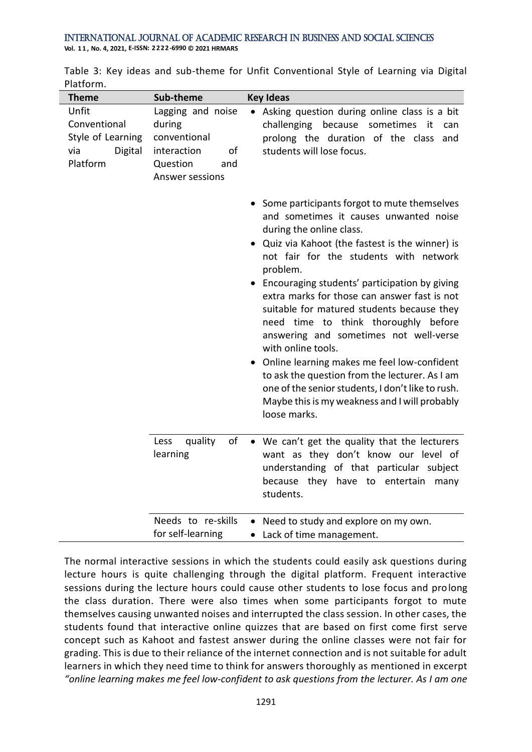**Theme Sub-theme Key Ideas** Unfit Conventional Style of Learning via Digital Platform Lagging and noise during conventional interaction of Question and Answer sessions • Asking question during online class is a bit challenging because sometimes it can prolong the duration of the class and students will lose focus. • Some participants forgot to mute themselves and sometimes it causes unwanted noise during the online class. • Quiz via Kahoot (the fastest is the winner) is not fair for the students with network problem. • Encouraging students' participation by giving extra marks for those can answer fast is not suitable for matured students because they need time to think thoroughly before answering and sometimes not well-verse with online tools. • Online learning makes me feel low-confident to ask the question from the lecturer. As I am one of the senior students, I don't like to rush. Maybe this is my weakness and I will probably loose marks. Less quality of learning We can't get the quality that the lecturers want as they don't know our level of understanding of that particular subject because they have to entertain many students. Needs to re-skills for self-learning • Need to study and explore on my own. • Lack of time management.

|           |  |  |  | Table 3: Key ideas and sub-theme for Unfit Conventional Style of Learning via Digital |  |  |  |
|-----------|--|--|--|---------------------------------------------------------------------------------------|--|--|--|
| Platform. |  |  |  |                                                                                       |  |  |  |

The normal interactive sessions in which the students could easily ask questions during lecture hours is quite challenging through the digital platform. Frequent interactive sessions during the lecture hours could cause other students to lose focus and prolong the class duration. There were also times when some participants forgot to mute themselves causing unwanted noises and interrupted the class session. In other cases, the students found that interactive online quizzes that are based on first come first serve concept such as Kahoot and fastest answer during the online classes were not fair for grading. This is due to their reliance of the internet connection and is not suitable for adult learners in which they need time to think for answers thoroughly as mentioned in excerpt *"online learning makes me feel low-confident to ask questions from the lecturer. As I am one*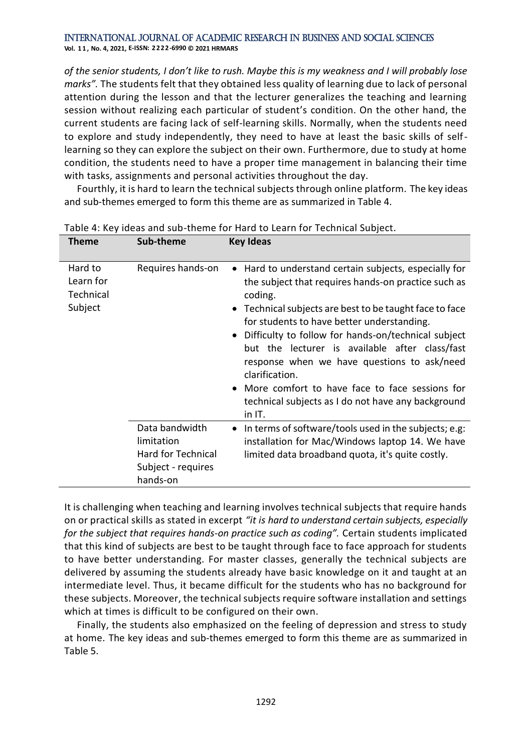#### International Journal of Academic Research in Business and Social Sciences **Vol. 1 1 , No. 4, 2021, E-ISSN: 2222-6990 © 2021 HRMARS**

*of the senior students, I don't like to rush. Maybe this is my weakness and I will probably lose marks".* The students felt that they obtained less quality of learning due to lack of personal attention during the lesson and that the lecturer generalizes the teaching and learning session without realizing each particular of student's condition. On the other hand, the current students are facing lack of self-learning skills. Normally, when the students need to explore and study independently, they need to have at least the basic skills of selflearning so they can explore the subject on their own. Furthermore, due to study at home condition, the students need to have a proper time management in balancing their time with tasks, assignments and personal activities throughout the day.

Fourthly, it is hard to learn the technical subjects through online platform. The key ideas and sub-themes emerged to form this theme are as summarized in Table 4.

| <b>Theme</b>                                 | Sub-theme                                                                            | <b>Key Ideas</b>                                                                                                                                                                                                                                                                                                                                                                                                                                                                                                               |
|----------------------------------------------|--------------------------------------------------------------------------------------|--------------------------------------------------------------------------------------------------------------------------------------------------------------------------------------------------------------------------------------------------------------------------------------------------------------------------------------------------------------------------------------------------------------------------------------------------------------------------------------------------------------------------------|
| Hard to<br>Learn for<br>Technical<br>Subject | Requires hands-on                                                                    | • Hard to understand certain subjects, especially for<br>the subject that requires hands-on practice such as<br>coding.<br>• Technical subjects are best to be taught face to face<br>for students to have better understanding.<br>Difficulty to follow for hands-on/technical subject<br>but the lecturer is available after class/fast<br>response when we have questions to ask/need<br>clarification.<br>• More comfort to have face to face sessions for<br>technical subjects as I do not have any background<br>in IT. |
|                                              | Data bandwidth<br>limitation<br>Hard for Technical<br>Subject - requires<br>hands-on | In terms of software/tools used in the subjects; e.g.<br>installation for Mac/Windows laptop 14. We have<br>limited data broadband quota, it's quite costly.                                                                                                                                                                                                                                                                                                                                                                   |

Table 4: Key ideas and sub-theme for Hard to Learn for Technical Subject.

It is challenging when teaching and learning involves technical subjects that require hands on or practical skills as stated in excerpt *"it is hard to understand certain subjects, especially for the subject that requires hands-on practice such as coding".* Certain students implicated that this kind of subjects are best to be taught through face to face approach for students to have better understanding. For master classes, generally the technical subjects are delivered by assuming the students already have basic knowledge on it and taught at an intermediate level. Thus, it became difficult for the students who has no background for these subjects. Moreover, the technical subjects require software installation and settings which at times is difficult to be configured on their own.

Finally, the students also emphasized on the feeling of depression and stress to study at home. The key ideas and sub-themes emerged to form this theme are as summarized in Table 5.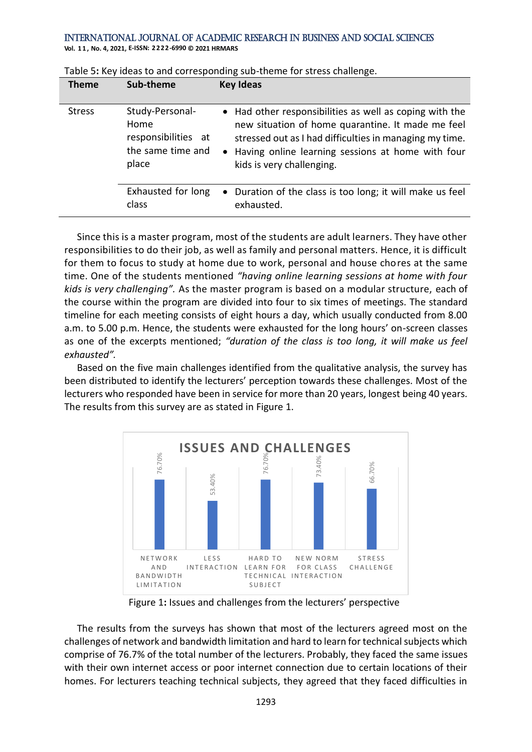**Vol. 1 1 , No. 4, 2021, E-ISSN: 2222-6990 © 2021 HRMARS**

| <b>Theme</b>  | Sub-theme                                                                    | <b>Key Ideas</b>                                                                                                                                                                                                                                            |
|---------------|------------------------------------------------------------------------------|-------------------------------------------------------------------------------------------------------------------------------------------------------------------------------------------------------------------------------------------------------------|
| <b>Stress</b> | Study-Personal-<br>Home<br>responsibilities at<br>the same time and<br>place | • Had other responsibilities as well as coping with the<br>new situation of home quarantine. It made me feel<br>stressed out as I had difficulties in managing my time.<br>• Having online learning sessions at home with four<br>kids is very challenging. |
|               | Exhausted for long<br>class                                                  | • Duration of the class is too long; it will make us feel<br>exhausted.                                                                                                                                                                                     |

Since this is a master program, most of the students are adult learners. They have other responsibilities to do their job, as well as family and personal matters. Hence, it is difficult for them to focus to study at home due to work, personal and house chores at the same time. One of the students mentioned *"having online learning sessions at home with four kids is very challenging".* As the master program is based on a modular structure, each of the course within the program are divided into four to six times of meetings. The standard timeline for each meeting consists of eight hours a day, which usually conducted from 8.00 a.m. to 5.00 p.m. Hence, the students were exhausted for the long hours' on-screen classes as one of the excerpts mentioned; *"duration of the class is too long, it will make us feel exhausted".* 

Based on the five main challenges identified from the qualitative analysis, the survey has been distributed to identify the lecturers' perception towards these challenges. Most of the lecturers who responded have been in service for more than 20 years, longest being 40 years. The results from this survey are as stated in Figure 1.



Figure 1**:** Issues and challenges from the lecturers' perspective

The results from the surveys has shown that most of the lecturers agreed most on the challenges of network and bandwidth limitation and hard to learn for technical subjects which comprise of 76.7% of the total number of the lecturers. Probably, they faced the same issues with their own internet access or poor internet connection due to certain locations of their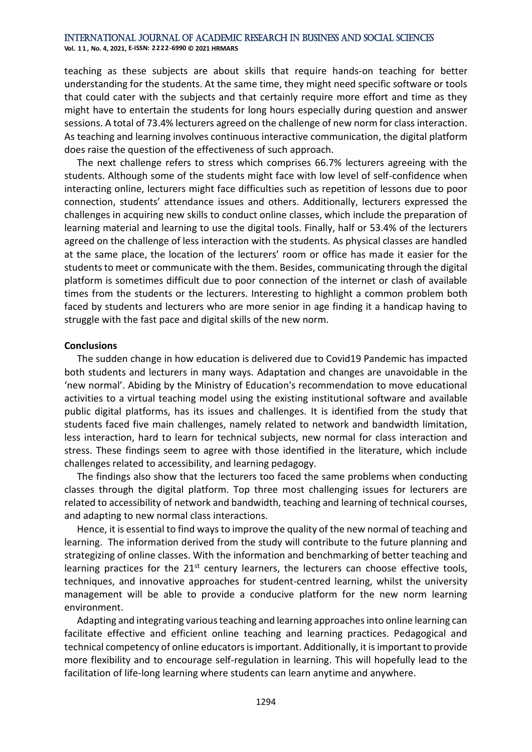**Vol. 1 1 , No. 4, 2021, E-ISSN: 2222-6990 © 2021 HRMARS**

teaching as these subjects are about skills that require hands-on teaching for better understanding for the students. At the same time, they might need specific software or tools that could cater with the subjects and that certainly require more effort and time as they might have to entertain the students for long hours especially during question and answer sessions. A total of 73.4% lecturers agreed on the challenge of new norm for class interaction. As teaching and learning involves continuous interactive communication, the digital platform does raise the question of the effectiveness of such approach.

The next challenge refers to stress which comprises 66.7% lecturers agreeing with the students. Although some of the students might face with low level of self-confidence when interacting online, lecturers might face difficulties such as repetition of lessons due to poor connection, students' attendance issues and others. Additionally, lecturers expressed the challenges in acquiring new skills to conduct online classes, which include the preparation of learning material and learning to use the digital tools. Finally, half or 53.4% of the lecturers agreed on the challenge of less interaction with the students. As physical classes are handled at the same place, the location of the lecturers' room or office has made it easier for the students to meet or communicate with the them. Besides, communicating through the digital platform is sometimes difficult due to poor connection of the internet or clash of available times from the students or the lecturers. Interesting to highlight a common problem both faced by students and lecturers who are more senior in age finding it a handicap having to struggle with the fast pace and digital skills of the new norm.

#### **Conclusions**

The sudden change in how education is delivered due to Covid19 Pandemic has impacted both students and lecturers in many ways. Adaptation and changes are unavoidable in the 'new normal'. Abiding by the Ministry of Education's recommendation to move educational activities to a virtual teaching model using the existing institutional software and available public digital platforms, has its issues and challenges. It is identified from the study that students faced five main challenges, namely related to network and bandwidth limitation, less interaction, hard to learn for technical subjects, new normal for class interaction and stress. These findings seem to agree with those identified in the literature, which include challenges related to accessibility, and learning pedagogy.

The findings also show that the lecturers too faced the same problems when conducting classes through the digital platform. Top three most challenging issues for lecturers are related to accessibility of network and bandwidth, teaching and learning of technical courses, and adapting to new normal class interactions.

Hence, it is essential to find ways to improve the quality of the new normal of teaching and learning. The information derived from the study will contribute to the future planning and strategizing of online classes. With the information and benchmarking of better teaching and learning practices for the 21<sup>st</sup> century learners, the lecturers can choose effective tools, techniques, and innovative approaches for student-centred learning, whilst the university management will be able to provide a conducive platform for the new norm learning environment.

Adapting and integrating various teaching and learning approaches into online learning can facilitate effective and efficient online teaching and learning practices. Pedagogical and technical competency of online educators is important. Additionally, it is important to provide more flexibility and to encourage self-regulation in learning. This will hopefully lead to the facilitation of life-long learning where students can learn anytime and anywhere.